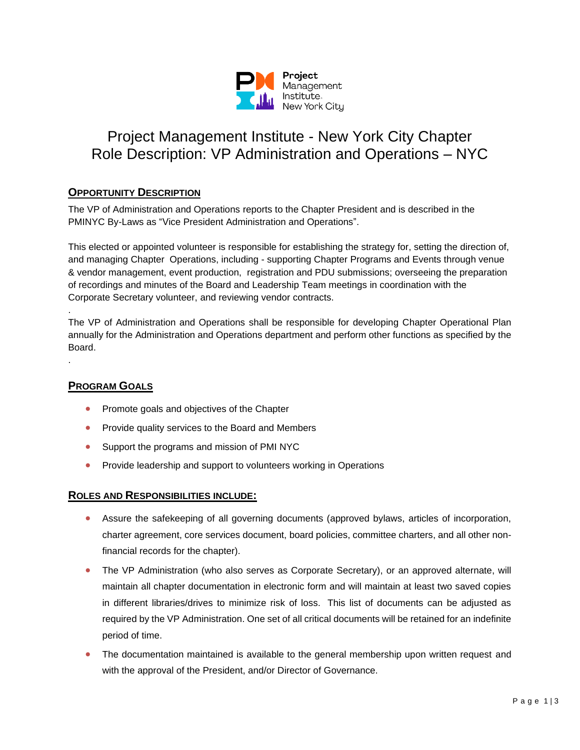

# Project Management Institute - New York City Chapter Role Description: VP Administration and Operations – NYC

## **OPPORTUNITY DESCRIPTION**

The VP of Administration and Operations reports to the Chapter President and is described in the PMINYC By-Laws as "Vice President Administration and Operations".

This elected or appointed volunteer is responsible for establishing the strategy for, setting the direction of, and managing Chapter Operations, including - supporting Chapter Programs and Events through venue & vendor management, event production, registration and PDU submissions; overseeing the preparation of recordings and minutes of the Board and Leadership Team meetings in coordination with the Corporate Secretary volunteer, and reviewing vendor contracts.

The VP of Administration and Operations shall be responsible for developing Chapter Operational Plan annually for the Administration and Operations department and perform other functions as specified by the Board.

## **PROGRAM GOALS**

.

.

- Promote goals and objectives of the Chapter
- Provide quality services to the Board and Members
- Support the programs and mission of PMI NYC
- Provide leadership and support to volunteers working in Operations

## **ROLES AND RESPONSIBILITIES INCLUDE:**

- Assure the safekeeping of all governing documents (approved bylaws, articles of incorporation, charter agreement, core services document, board policies, committee charters, and all other nonfinancial records for the chapter).
- The VP Administration (who also serves as Corporate Secretary), or an approved alternate, will maintain all chapter documentation in electronic form and will maintain at least two saved copies in different libraries/drives to minimize risk of loss. This list of documents can be adjusted as required by the VP Administration. One set of all critical documents will be retained for an indefinite period of time.
- The documentation maintained is available to the general membership upon written request and with the approval of the President, and/or Director of Governance.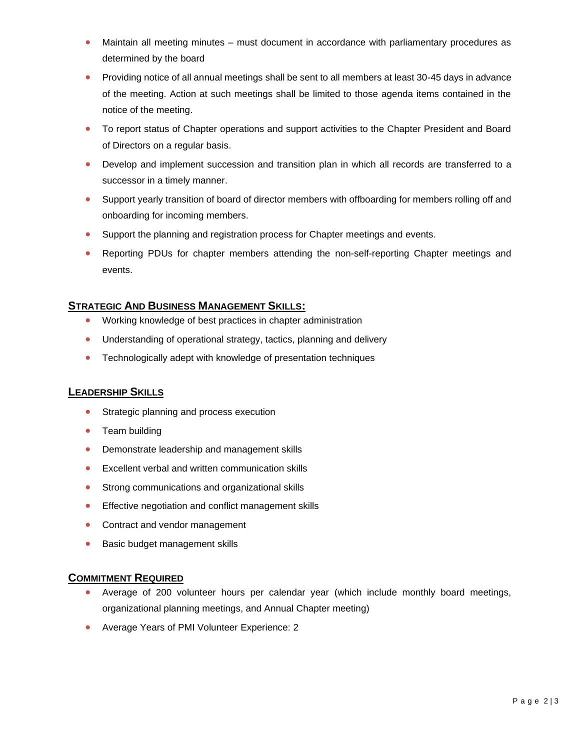- Maintain all meeting minutes must document in accordance with parliamentary procedures as determined by the board
- Providing notice of all annual meetings shall be sent to all members at least 30-45 days in advance of the meeting. Action at such meetings shall be limited to those agenda items contained in the notice of the meeting.
- To report status of Chapter operations and support activities to the Chapter President and Board of Directors on a regular basis.
- Develop and implement succession and transition plan in which all records are transferred to a successor in a timely manner.
- Support yearly transition of board of director members with offboarding for members rolling off and onboarding for incoming members.
- Support the planning and registration process for Chapter meetings and events.
- Reporting PDUs for chapter members attending the non-self-reporting Chapter meetings and events.

## **STRATEGIC AND BUSINESS MANAGEMENT SKILLS:**

- Working knowledge of best practices in chapter administration
- Understanding of operational strategy, tactics, planning and delivery
- Technologically adept with knowledge of presentation techniques

#### **LEADERSHIP SKILLS**

- Strategic planning and process execution
- Team building
- Demonstrate leadership and management skills
- Excellent verbal and written communication skills
- Strong communications and organizational skills
- Effective negotiation and conflict management skills
- Contract and vendor management
- Basic budget management skills

#### **COMMITMENT REQUIRED**

- Average of 200 volunteer hours per calendar year (which include monthly board meetings, organizational planning meetings, and Annual Chapter meeting)
- Average Years of PMI Volunteer Experience: 2